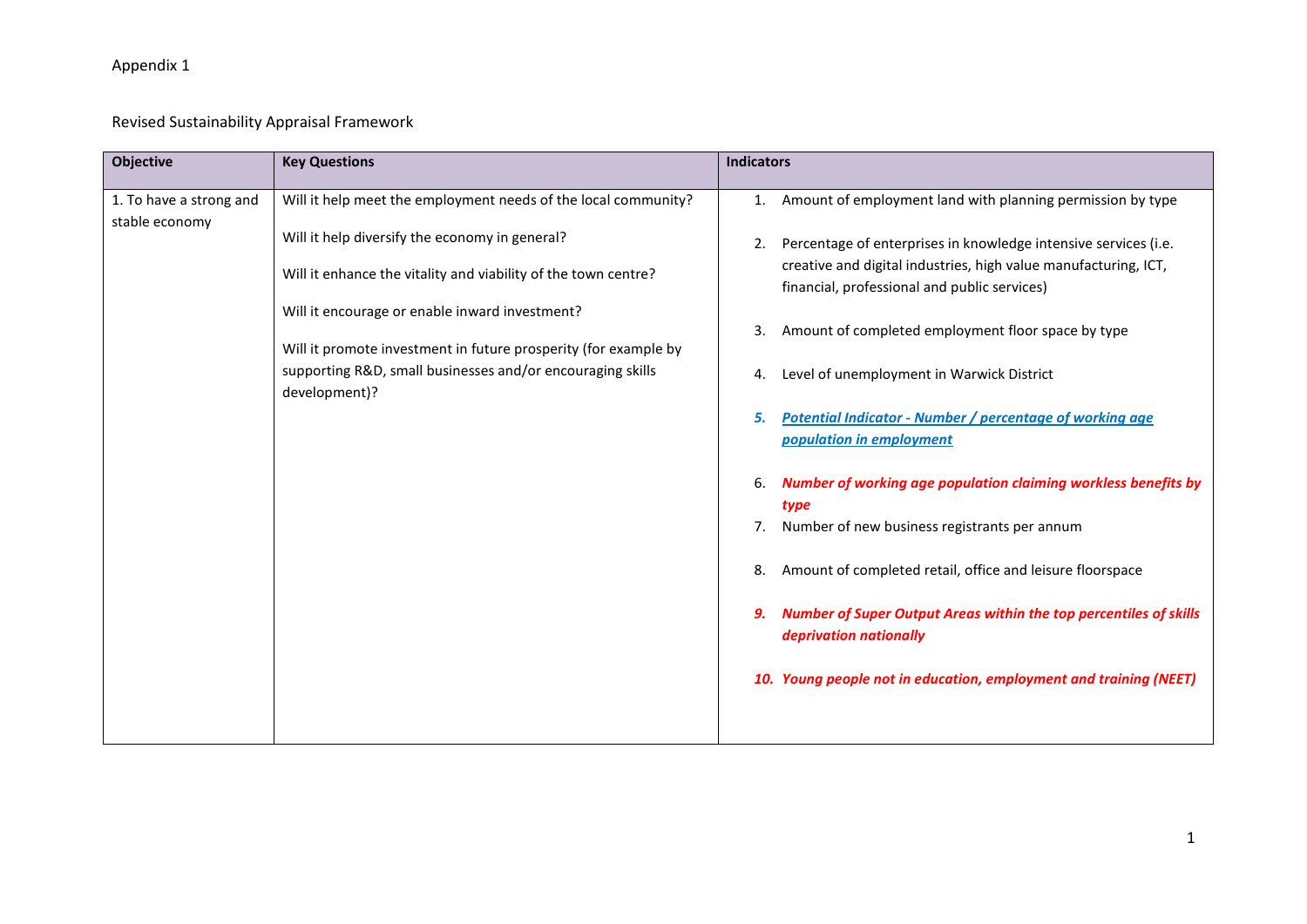# Revised Sustainability Appraisal Framework

| <b>Objective</b>                          | <b>Key Questions</b>                                                                                                                                                                                                                                                                                    | <b>Indicators</b>                                                                                                                                                                                                                                                                                            |
|-------------------------------------------|---------------------------------------------------------------------------------------------------------------------------------------------------------------------------------------------------------------------------------------------------------------------------------------------------------|--------------------------------------------------------------------------------------------------------------------------------------------------------------------------------------------------------------------------------------------------------------------------------------------------------------|
| 1. To have a strong and<br>stable economy | Will it help meet the employment needs of the local community?<br>Will it help diversify the economy in general?<br>Will it enhance the vitality and viability of the town centre?<br>Will it encourage or enable inward investment?<br>Will it promote investment in future prosperity (for example by | Amount of employment land with planning permission by type<br>Percentage of enterprises in knowledge intensive services (i.e.<br>2.<br>creative and digital industries, high value manufacturing, ICT,<br>financial, professional and public services)<br>Amount of completed employment floor space by type |
|                                           | supporting R&D, small businesses and/or encouraging skills<br>development)?                                                                                                                                                                                                                             | Level of unemployment in Warwick District<br><b>Potential Indicator - Number / percentage of working age</b><br>population in employment<br>Number of working age population claiming workless benefits by<br>type                                                                                           |
|                                           |                                                                                                                                                                                                                                                                                                         | Number of new business registrants per annum                                                                                                                                                                                                                                                                 |
|                                           |                                                                                                                                                                                                                                                                                                         | Amount of completed retail, office and leisure floorspace<br>8.                                                                                                                                                                                                                                              |
|                                           |                                                                                                                                                                                                                                                                                                         | <b>Number of Super Output Areas within the top percentiles of skills</b><br>deprivation nationally                                                                                                                                                                                                           |
|                                           |                                                                                                                                                                                                                                                                                                         | 10. Young people not in education, employment and training (NEET)                                                                                                                                                                                                                                            |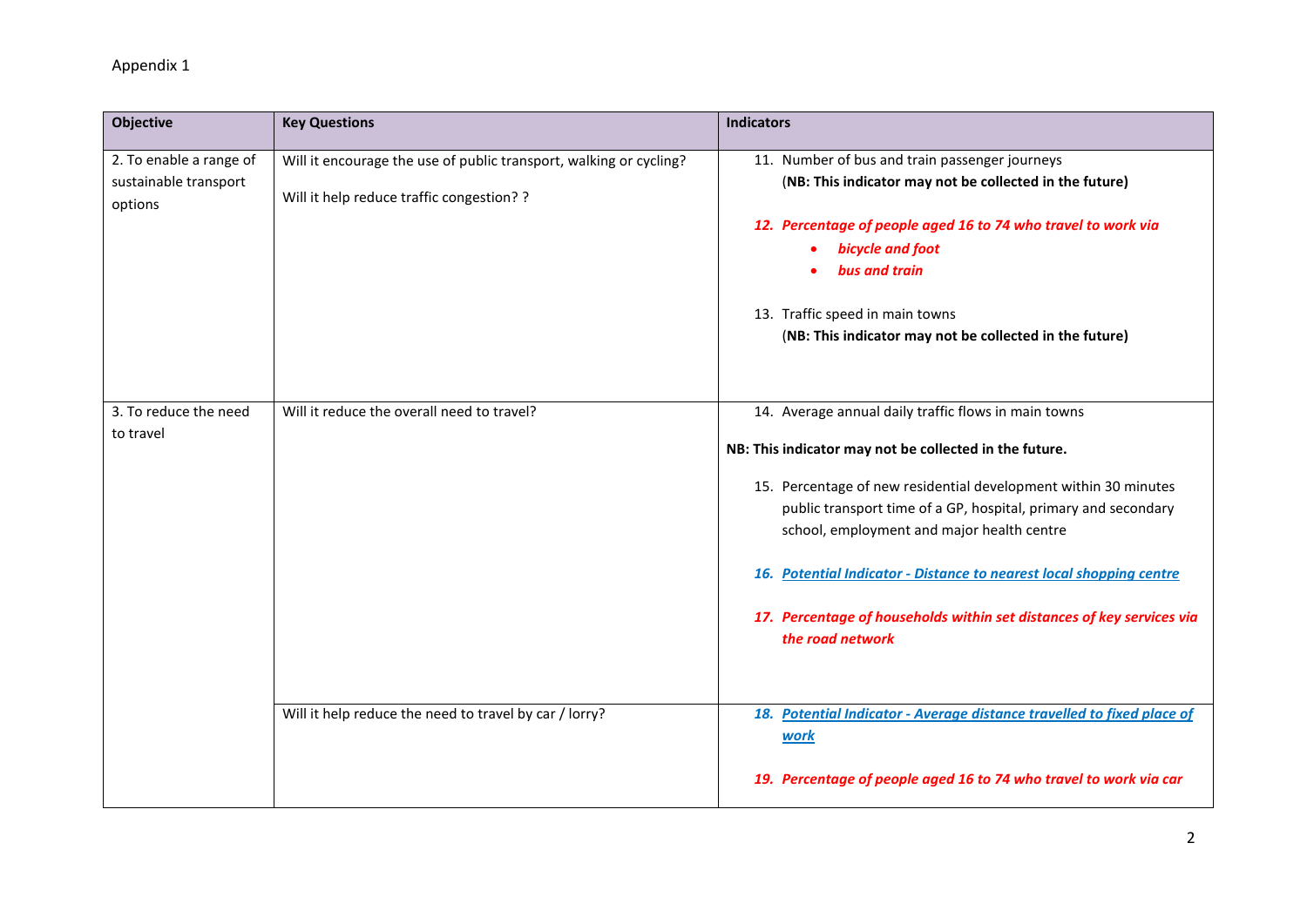| Objective                                                   | <b>Key Questions</b>                                                                                            | <b>Indicators</b>                                                                                                                                                               |
|-------------------------------------------------------------|-----------------------------------------------------------------------------------------------------------------|---------------------------------------------------------------------------------------------------------------------------------------------------------------------------------|
| 2. To enable a range of<br>sustainable transport<br>options | Will it encourage the use of public transport, walking or cycling?<br>Will it help reduce traffic congestion? ? | 11. Number of bus and train passenger journeys<br>(NB: This indicator may not be collected in the future)                                                                       |
|                                                             |                                                                                                                 | 12. Percentage of people aged 16 to 74 who travel to work via<br>bicycle and foot<br>bus and train                                                                              |
|                                                             |                                                                                                                 | 13. Traffic speed in main towns<br>(NB: This indicator may not be collected in the future)                                                                                      |
| 3. To reduce the need<br>to travel                          | Will it reduce the overall need to travel?                                                                      | 14. Average annual daily traffic flows in main towns<br>NB: This indicator may not be collected in the future.                                                                  |
|                                                             |                                                                                                                 | 15. Percentage of new residential development within 30 minutes<br>public transport time of a GP, hospital, primary and secondary<br>school, employment and major health centre |
|                                                             |                                                                                                                 | 16. Potential Indicator - Distance to nearest local shopping centre                                                                                                             |
|                                                             |                                                                                                                 | 17. Percentage of households within set distances of key services via<br>the road network                                                                                       |
|                                                             | Will it help reduce the need to travel by car / lorry?                                                          | 18. Potential Indicator - Average distance travelled to fixed place of<br><b>work</b>                                                                                           |
|                                                             |                                                                                                                 | 19. Percentage of people aged 16 to 74 who travel to work via car                                                                                                               |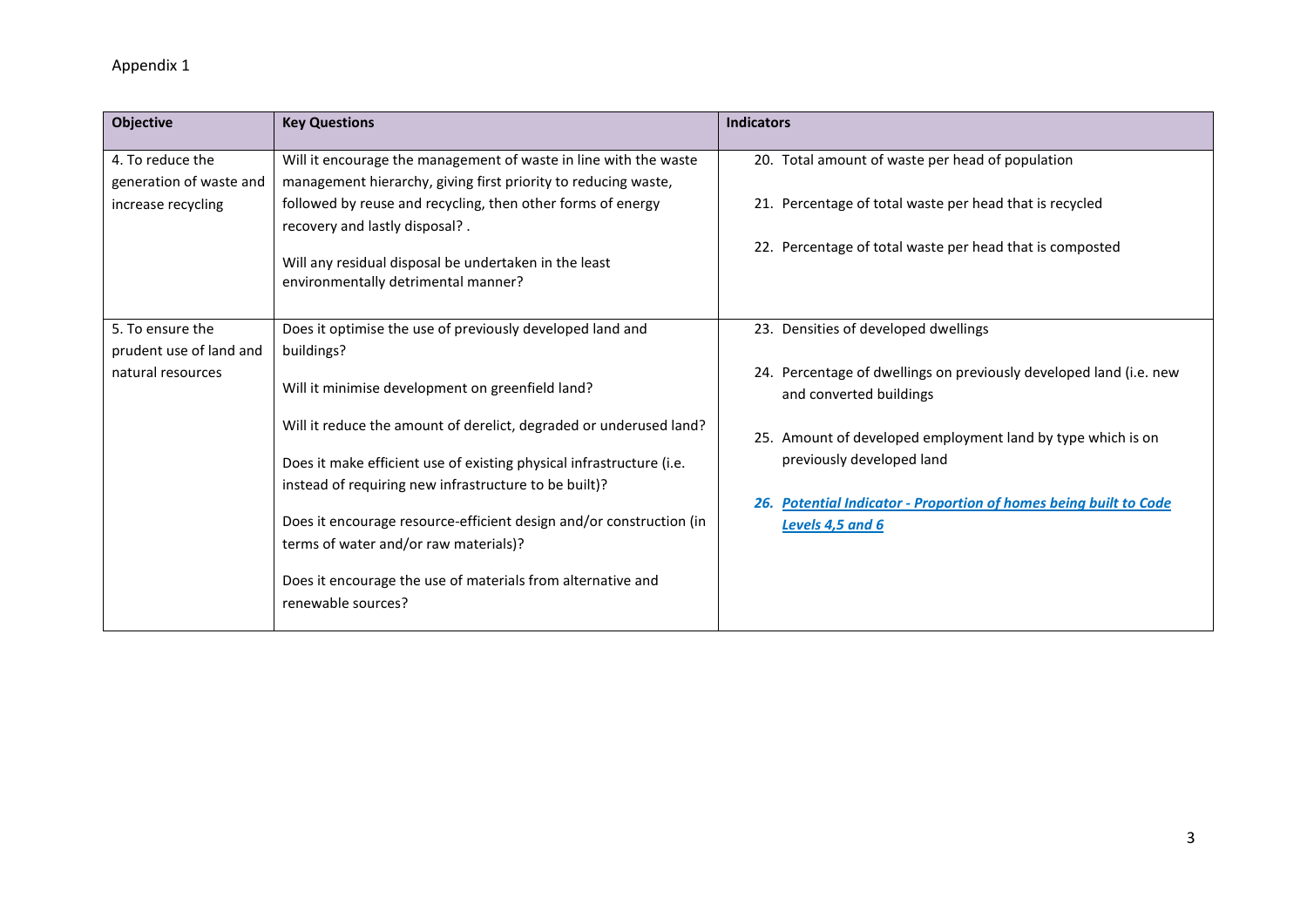| Objective               | <b>Key Questions</b>                                                                         | <b>Indicators</b>                                                                             |
|-------------------------|----------------------------------------------------------------------------------------------|-----------------------------------------------------------------------------------------------|
| 4. To reduce the        | Will it encourage the management of waste in line with the waste                             | 20. Total amount of waste per head of population                                              |
| generation of waste and | management hierarchy, giving first priority to reducing waste,                               |                                                                                               |
| increase recycling      | followed by reuse and recycling, then other forms of energy                                  | 21. Percentage of total waste per head that is recycled                                       |
|                         | recovery and lastly disposal?.                                                               |                                                                                               |
|                         | Will any residual disposal be undertaken in the least<br>environmentally detrimental manner? | 22. Percentage of total waste per head that is composted                                      |
|                         |                                                                                              |                                                                                               |
| 5. To ensure the        | Does it optimise the use of previously developed land and                                    | 23. Densities of developed dwellings                                                          |
| prudent use of land and | buildings?                                                                                   |                                                                                               |
| natural resources       | Will it minimise development on greenfield land?                                             | 24. Percentage of dwellings on previously developed land (i.e. new<br>and converted buildings |
|                         | Will it reduce the amount of derelict, degraded or underused land?                           | 25. Amount of developed employment land by type which is on                                   |
|                         | Does it make efficient use of existing physical infrastructure (i.e.                         | previously developed land                                                                     |
|                         | instead of requiring new infrastructure to be built)?                                        |                                                                                               |
|                         |                                                                                              | <b>Potential Indicator - Proportion of homes being built to Code</b><br>26.                   |
|                         | Does it encourage resource-efficient design and/or construction (in                          | Levels 4,5 and 6                                                                              |
|                         | terms of water and/or raw materials)?                                                        |                                                                                               |
|                         | Does it encourage the use of materials from alternative and                                  |                                                                                               |
|                         | renewable sources?                                                                           |                                                                                               |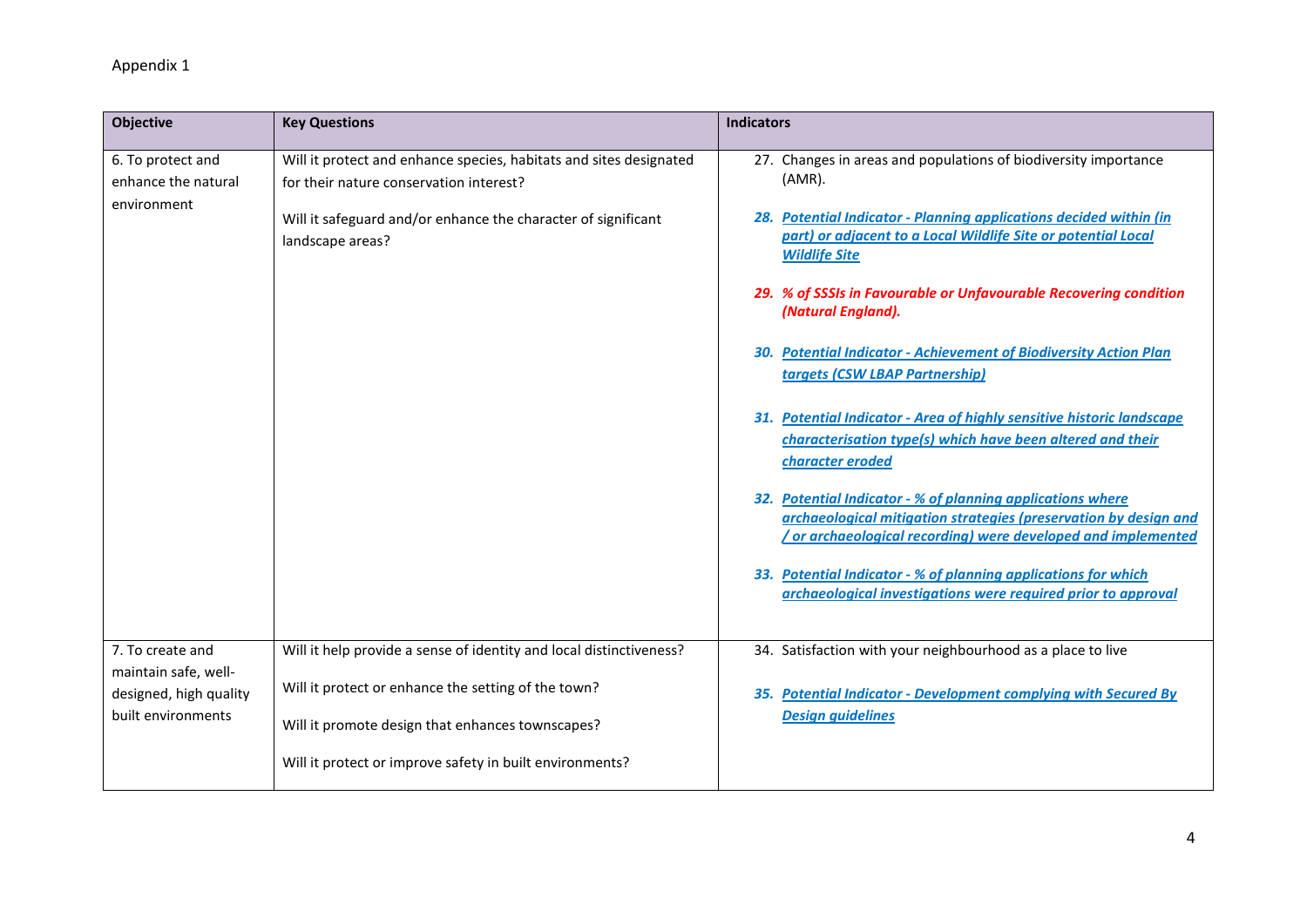| <b>Objective</b>                                        | <b>Key Questions</b>                                                                                          | <b>Indicators</b>                                                                                                                                                                             |
|---------------------------------------------------------|---------------------------------------------------------------------------------------------------------------|-----------------------------------------------------------------------------------------------------------------------------------------------------------------------------------------------|
| 6. To protect and<br>enhance the natural<br>environment | Will it protect and enhance species, habitats and sites designated<br>for their nature conservation interest? | 27. Changes in areas and populations of biodiversity importance<br>$(AMR)$ .                                                                                                                  |
|                                                         | Will it safeguard and/or enhance the character of significant<br>landscape areas?                             | 28. Potential Indicator - Planning applications decided within (in<br>part) or adjacent to a Local Wildlife Site or potential Local<br><b>Wildlife Site</b>                                   |
|                                                         |                                                                                                               | 29. % of SSSIs in Favourable or Unfavourable Recovering condition<br>(Natural England).                                                                                                       |
|                                                         |                                                                                                               | 30. Potential Indicator - Achievement of Biodiversity Action Plan<br>targets (CSW LBAP Partnership)                                                                                           |
|                                                         |                                                                                                               | 31. Potential Indicator - Area of highly sensitive historic landscape<br>characterisation type(s) which have been altered and their<br>character eroded                                       |
|                                                         |                                                                                                               | 32. Potential Indicator - % of planning applications where<br>archaeological mitigation strategies (preservation by design and<br>or archaeological recording) were developed and implemented |
|                                                         |                                                                                                               | 33. Potential Indicator - % of planning applications for which<br>archaeological investigations were required prior to approval                                                               |
| 7. To create and<br>maintain safe, well-                | Will it help provide a sense of identity and local distinctiveness?                                           | 34. Satisfaction with your neighbourhood as a place to live                                                                                                                                   |
| designed, high quality<br>built environments            | Will it protect or enhance the setting of the town?                                                           | 35. Potential Indicator - Development complying with Secured By                                                                                                                               |
|                                                         | Will it promote design that enhances townscapes?                                                              | <b>Design guidelines</b>                                                                                                                                                                      |
|                                                         | Will it protect or improve safety in built environments?                                                      |                                                                                                                                                                                               |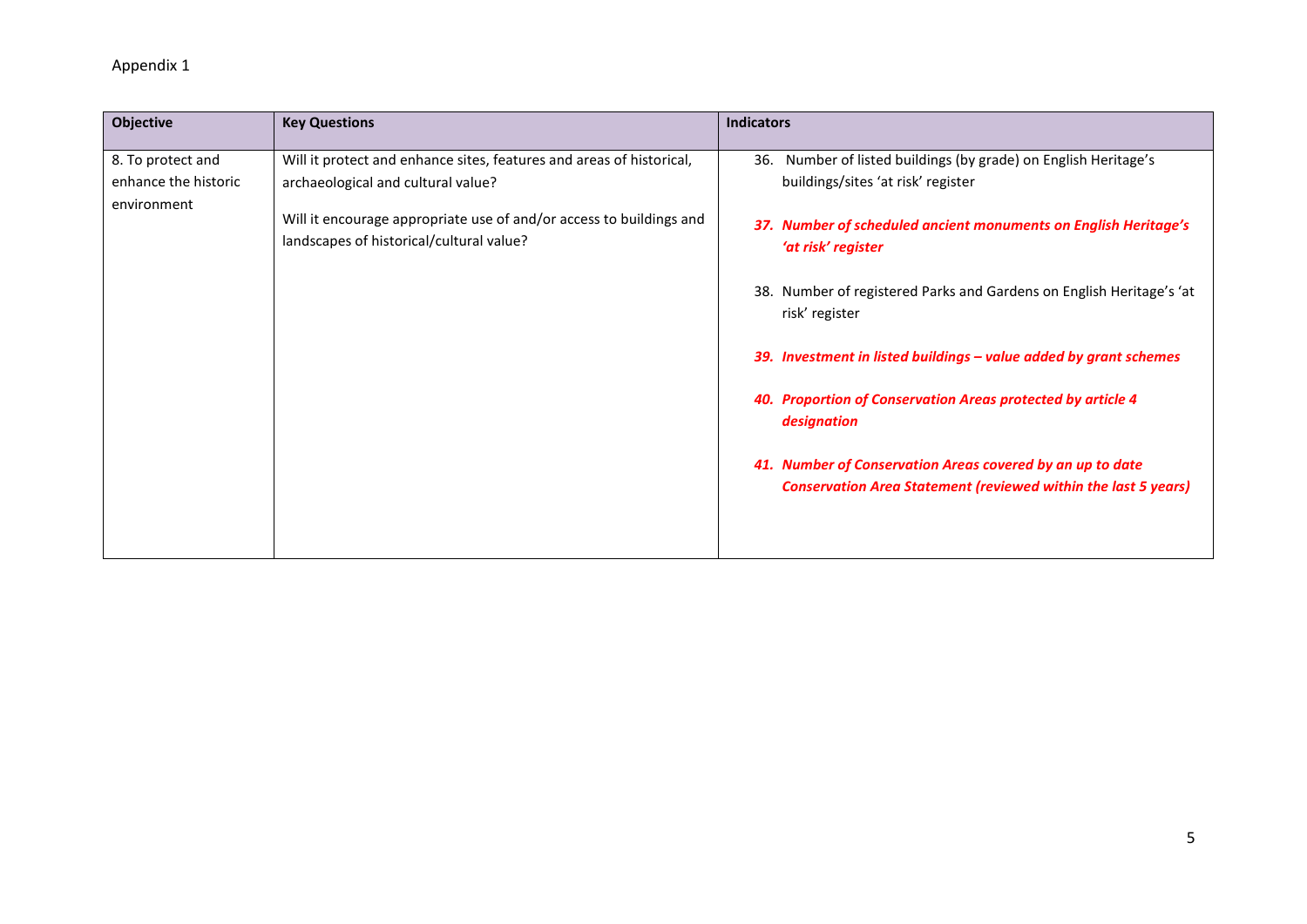| Objective                                                | <b>Key Questions</b>                                                                                                                                                                                                          | <b>Indicators</b>                                                                                                                                                                                 |
|----------------------------------------------------------|-------------------------------------------------------------------------------------------------------------------------------------------------------------------------------------------------------------------------------|---------------------------------------------------------------------------------------------------------------------------------------------------------------------------------------------------|
| 8. To protect and<br>enhance the historic<br>environment | Will it protect and enhance sites, features and areas of historical,<br>archaeological and cultural value?<br>Will it encourage appropriate use of and/or access to buildings and<br>landscapes of historical/cultural value? | Number of listed buildings (by grade) on English Heritage's<br>36.<br>buildings/sites 'at risk' register<br>37. Number of scheduled ancient monuments on English Heritage's<br>'at risk' register |
|                                                          |                                                                                                                                                                                                                               | 38. Number of registered Parks and Gardens on English Heritage's 'at<br>risk' register                                                                                                            |
|                                                          |                                                                                                                                                                                                                               | 39. Investment in listed buildings – value added by grant schemes                                                                                                                                 |
|                                                          |                                                                                                                                                                                                                               | 40. Proportion of Conservation Areas protected by article 4<br>designation                                                                                                                        |
|                                                          |                                                                                                                                                                                                                               | 41. Number of Conservation Areas covered by an up to date<br><b>Conservation Area Statement (reviewed within the last 5 years)</b>                                                                |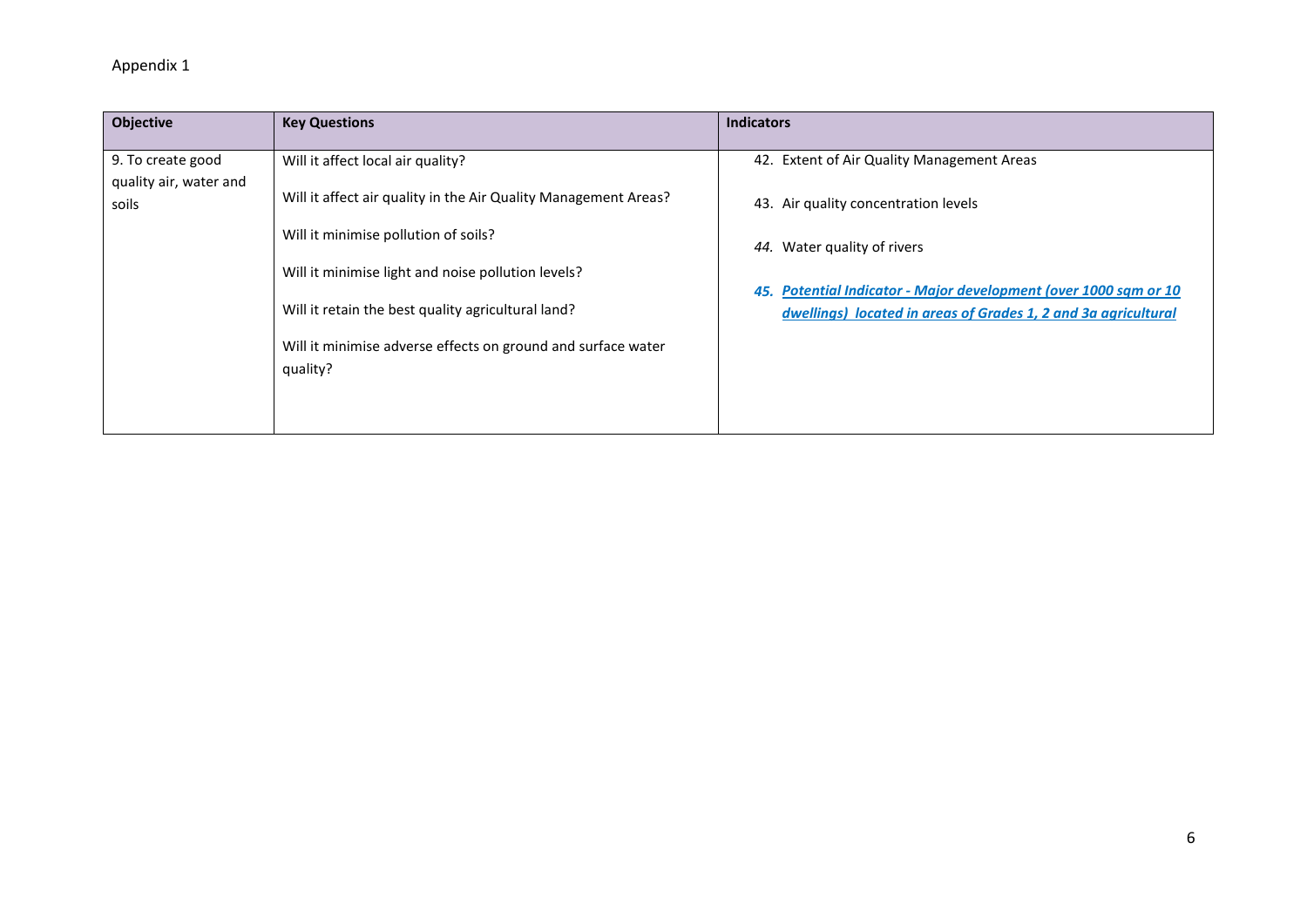| <b>Objective</b>                | <b>Key Questions</b>                                                     | <b>Indicators</b>                                                                                                                  |
|---------------------------------|--------------------------------------------------------------------------|------------------------------------------------------------------------------------------------------------------------------------|
| 9. To create good               | Will it affect local air quality?                                        | 42. Extent of Air Quality Management Areas                                                                                         |
| quality air, water and<br>soils | Will it affect air quality in the Air Quality Management Areas?          | 43. Air quality concentration levels                                                                                               |
|                                 | Will it minimise pollution of soils?                                     | 44. Water quality of rivers                                                                                                        |
|                                 | Will it minimise light and noise pollution levels?                       |                                                                                                                                    |
|                                 | Will it retain the best quality agricultural land?                       | 45. Potential Indicator - Major development (over 1000 sqm or 10<br>dwellings) located in areas of Grades 1, 2 and 3a agricultural |
|                                 | Will it minimise adverse effects on ground and surface water<br>quality? |                                                                                                                                    |
|                                 |                                                                          |                                                                                                                                    |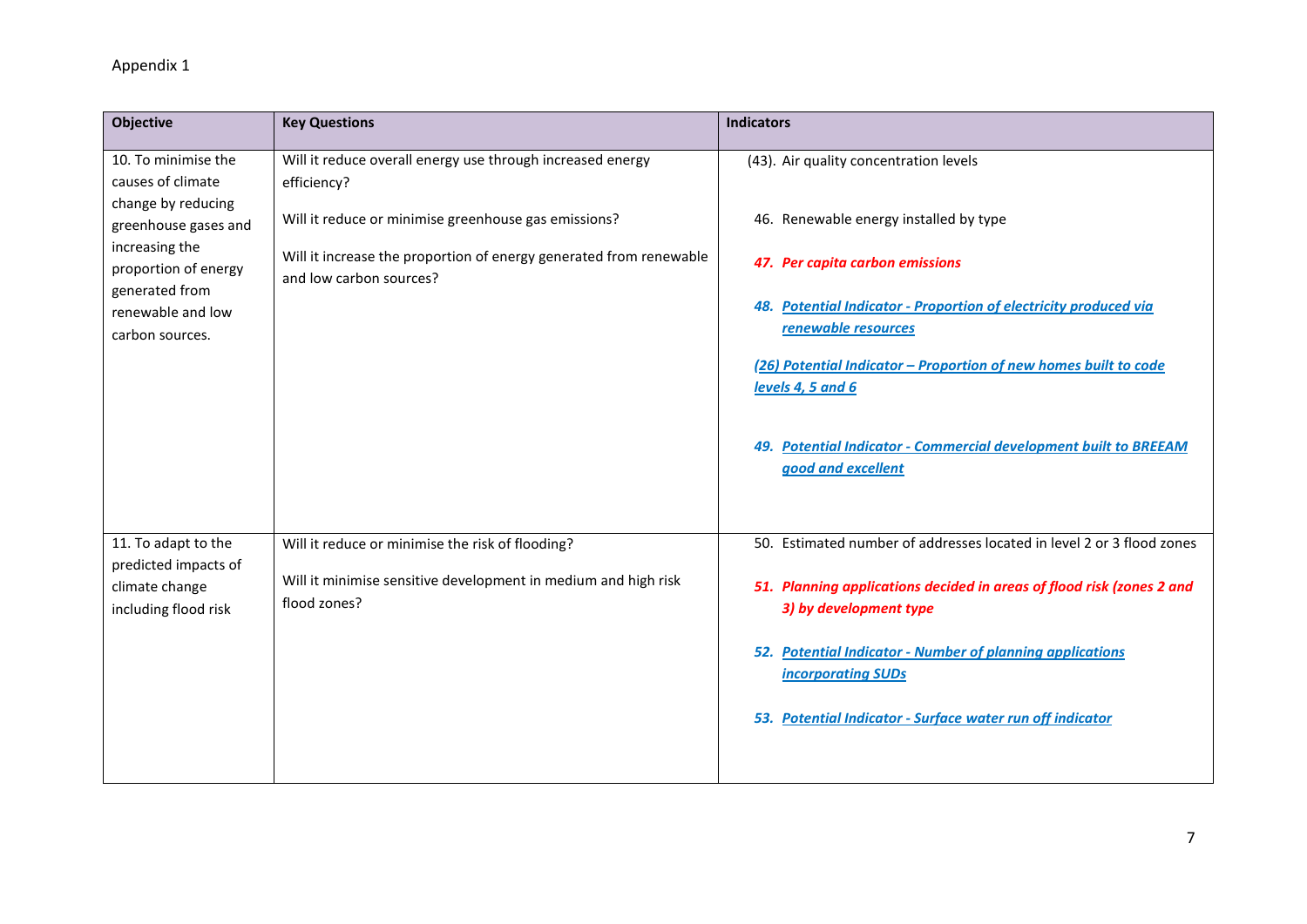| <b>Objective</b>                                                                                                                               | <b>Key Questions</b>                                                                                                                                  | <b>Indicators</b>                                                                                                                                                                                                                                                                                                                                     |
|------------------------------------------------------------------------------------------------------------------------------------------------|-------------------------------------------------------------------------------------------------------------------------------------------------------|-------------------------------------------------------------------------------------------------------------------------------------------------------------------------------------------------------------------------------------------------------------------------------------------------------------------------------------------------------|
| 10. To minimise the<br>causes of climate                                                                                                       | Will it reduce overall energy use through increased energy<br>efficiency?                                                                             | (43). Air quality concentration levels                                                                                                                                                                                                                                                                                                                |
| change by reducing<br>greenhouse gases and<br>increasing the<br>proportion of energy<br>generated from<br>renewable and low<br>carbon sources. | Will it reduce or minimise greenhouse gas emissions?<br>Will it increase the proportion of energy generated from renewable<br>and low carbon sources? | 46. Renewable energy installed by type<br>47. Per capita carbon emissions<br><b>Potential Indicator - Proportion of electricity produced via</b><br>renewable resources<br>(26) Potential Indicator - Proportion of new homes built to code<br>levels 4, 5 and 6<br>49. Potential Indicator - Commercial development built to BREEAM                  |
| 11. To adapt to the<br>predicted impacts of<br>climate change<br>including flood risk                                                          | Will it reduce or minimise the risk of flooding?<br>Will it minimise sensitive development in medium and high risk<br>flood zones?                    | good and excellent<br>50. Estimated number of addresses located in level 2 or 3 flood zones<br>51. Planning applications decided in areas of flood risk (zones 2 and<br>3) by development type<br>52. Potential Indicator - Number of planning applications<br><b>incorporating SUDs</b><br>53. Potential Indicator - Surface water run off indicator |
|                                                                                                                                                |                                                                                                                                                       |                                                                                                                                                                                                                                                                                                                                                       |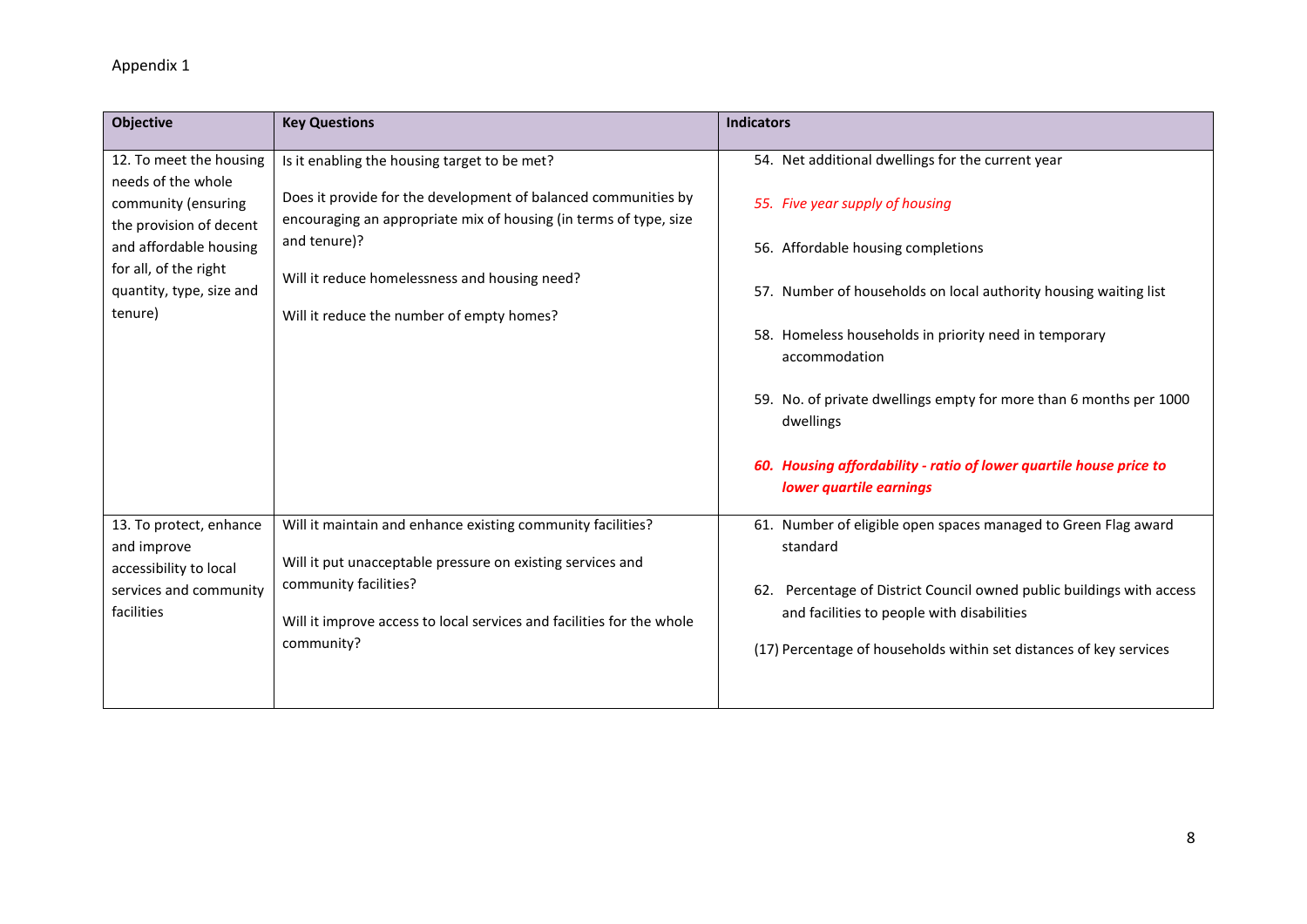| <b>Objective</b>                                                                                                                                                                          | <b>Key Questions</b>                                                                                                                                                                                                                                                                              | <b>Indicators</b>                                                                                                                                                                                                                                                                                                                                                                                                                                            |
|-------------------------------------------------------------------------------------------------------------------------------------------------------------------------------------------|---------------------------------------------------------------------------------------------------------------------------------------------------------------------------------------------------------------------------------------------------------------------------------------------------|--------------------------------------------------------------------------------------------------------------------------------------------------------------------------------------------------------------------------------------------------------------------------------------------------------------------------------------------------------------------------------------------------------------------------------------------------------------|
| 12. To meet the housing<br>needs of the whole<br>community (ensuring<br>the provision of decent<br>and affordable housing<br>for all, of the right<br>quantity, type, size and<br>tenure) | Is it enabling the housing target to be met?<br>Does it provide for the development of balanced communities by<br>encouraging an appropriate mix of housing (in terms of type, size<br>and tenure)?<br>Will it reduce homelessness and housing need?<br>Will it reduce the number of empty homes? | 54. Net additional dwellings for the current year<br>55. Five year supply of housing<br>56. Affordable housing completions<br>57. Number of households on local authority housing waiting list<br>58. Homeless households in priority need in temporary<br>accommodation<br>59. No. of private dwellings empty for more than 6 months per 1000<br>dwellings<br>60. Housing affordability - ratio of lower quartile house price to<br>lower quartile earnings |
| 13. To protect, enhance<br>and improve<br>accessibility to local<br>services and community<br>facilities                                                                                  | Will it maintain and enhance existing community facilities?<br>Will it put unacceptable pressure on existing services and<br>community facilities?<br>Will it improve access to local services and facilities for the whole<br>community?                                                         | 61. Number of eligible open spaces managed to Green Flag award<br>standard<br>62. Percentage of District Council owned public buildings with access<br>and facilities to people with disabilities<br>(17) Percentage of households within set distances of key services                                                                                                                                                                                      |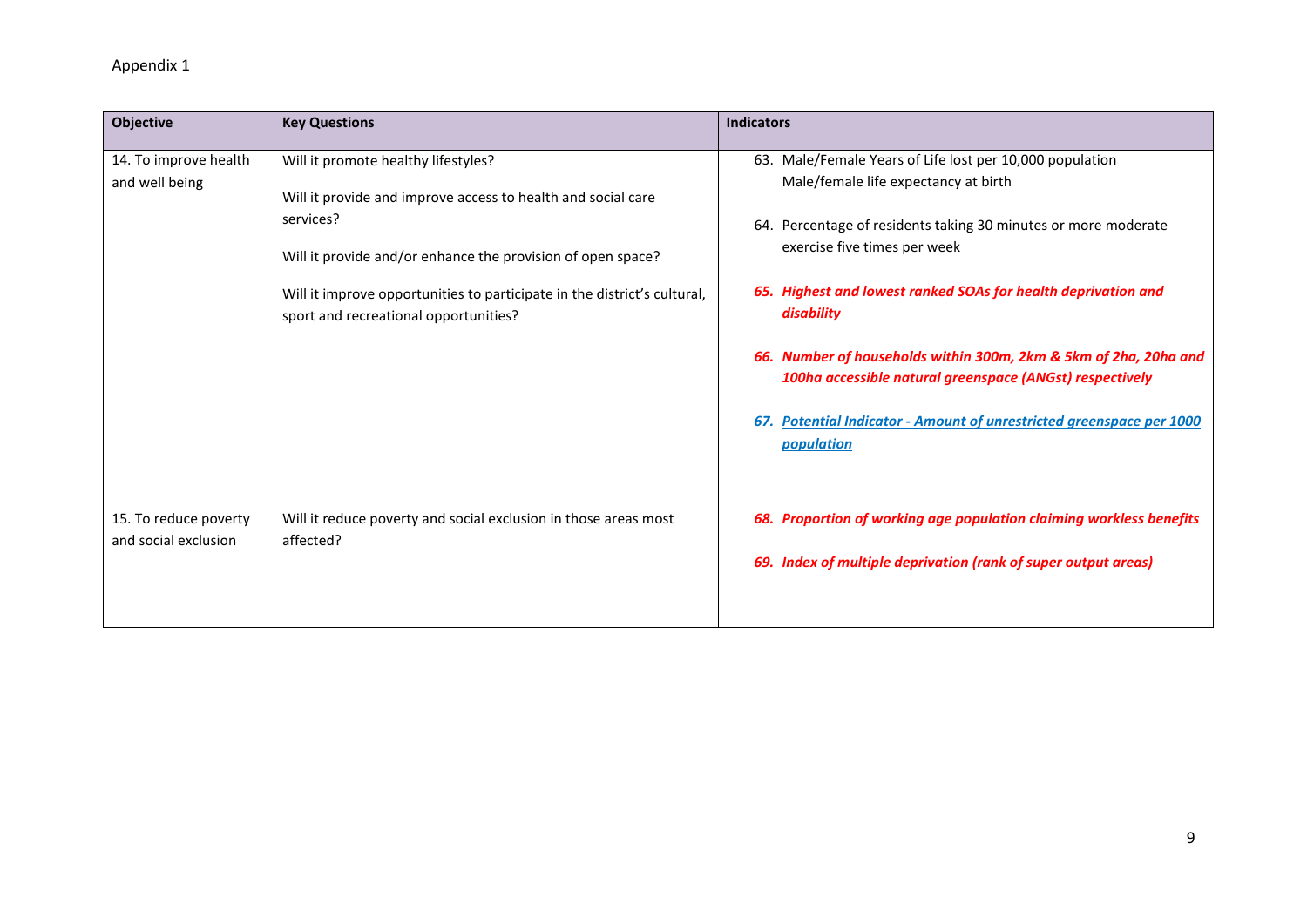| <b>Objective</b>                              | <b>Key Questions</b>                                                                                              | <b>Indicators</b>                                                                                                            |
|-----------------------------------------------|-------------------------------------------------------------------------------------------------------------------|------------------------------------------------------------------------------------------------------------------------------|
| 14. To improve health<br>and well being       | Will it promote healthy lifestyles?<br>Will it provide and improve access to health and social care               | 63. Male/Female Years of Life lost per 10,000 population<br>Male/female life expectancy at birth                             |
|                                               | services?<br>Will it provide and/or enhance the provision of open space?                                          | 64. Percentage of residents taking 30 minutes or more moderate<br>exercise five times per week                               |
|                                               | Will it improve opportunities to participate in the district's cultural,<br>sport and recreational opportunities? | 65. Highest and lowest ranked SOAs for health deprivation and<br>disability                                                  |
|                                               |                                                                                                                   | 66. Number of households within 300m, 2km & 5km of 2ha, 20ha and<br>100ha accessible natural greenspace (ANGst) respectively |
|                                               |                                                                                                                   | <b>Potential Indicator - Amount of unrestricted greenspace per 1000</b><br>67.<br>population                                 |
| 15. To reduce poverty<br>and social exclusion | Will it reduce poverty and social exclusion in those areas most<br>affected?                                      | 68. Proportion of working age population claiming workless benefits                                                          |
|                                               |                                                                                                                   | 69. Index of multiple deprivation (rank of super output areas)                                                               |